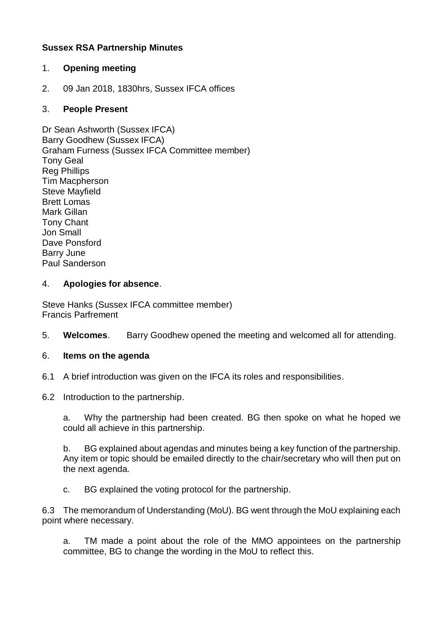# **Sussex RSA Partnership Minutes**

### 1. **Opening meeting**

2. 09 Jan 2018, 1830hrs, Sussex IFCA offices

### 3. **People Present**

Dr Sean Ashworth (Sussex IFCA) Barry Goodhew (Sussex IFCA) Graham Furness (Sussex IFCA Committee member) Tony Geal Reg Phillips Tim Macpherson Steve Mayfield Brett Lomas Mark Gillan Tony Chant Jon Small Dave Ponsford Barry June Paul Sanderson

#### 4. **Apologies for absence**.

Steve Hanks (Sussex IFCA committee member) Francis Parfrement

- 5. **Welcomes**. Barry Goodhew opened the meeting and welcomed all for attending.
- 6. **Items on the agenda**
- 6.1 A brief introduction was given on the IFCA its roles and responsibilities.
- 6.2 Introduction to the partnership.

a. Why the partnership had been created. BG then spoke on what he hoped we could all achieve in this partnership.

b. BG explained about agendas and minutes being a key function of the partnership. Any item or topic should be emailed directly to the chair/secretary who will then put on the next agenda.

c. BG explained the voting protocol for the partnership.

6.3 The memorandum of Understanding (MoU). BG went through the MoU explaining each point where necessary.

a. TM made a point about the role of the MMO appointees on the partnership committee, BG to change the wording in the MoU to reflect this.